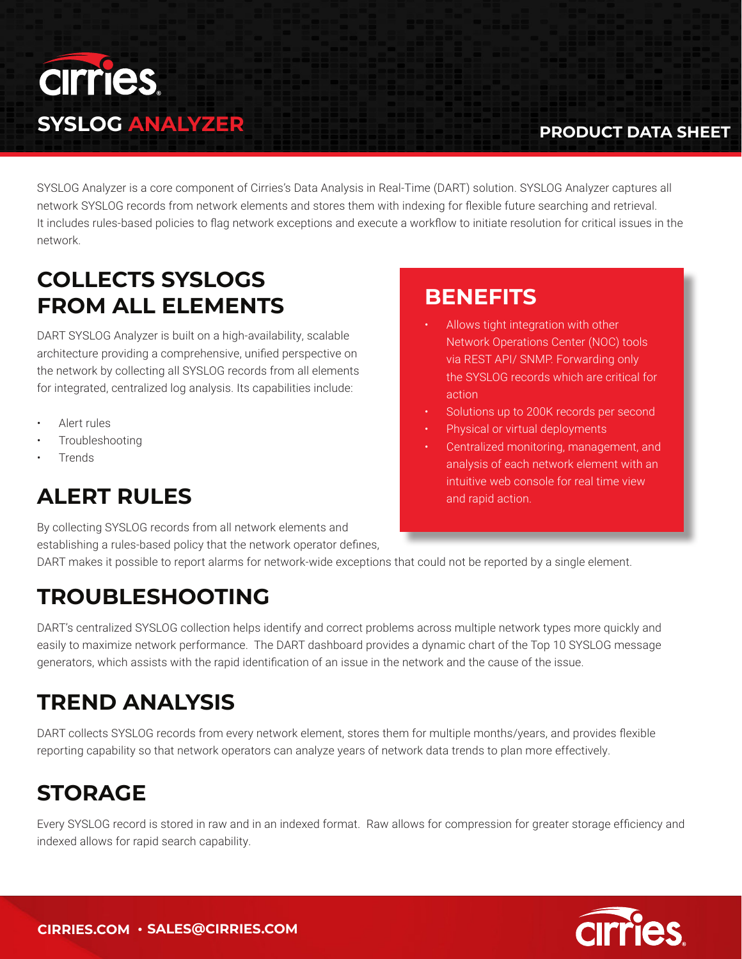

#### **PRODUCT DATA SHEET**

SYSLOG Analyzer is a core component of Cirries's Data Analysis in Real-Time (DART) solution. SYSLOG Analyzer captures all network SYSLOG records from network elements and stores them with indexing for flexible future searching and retrieval. It includes rules-based policies to flag network exceptions and execute a workflow to initiate resolution for critical issues in the network.

## **COLLECTS SYSLOGS FROM ALL ELEMENTS**

DART SYSLOG Analyzer is built on a high-availability, scalable architecture providing a comprehensive, unified perspective on the network by collecting all SYSLOG records from all elements for integrated, centralized log analysis. Its capabilities include:

- Alert rules
- **Troubleshooting**
- Trends

# **ALERT RULES**

By collecting SYSLOG records from all network elements and establishing a rules-based policy that the network operator defines,

#### **BENEFITS**

- Allows tight integration with other Network Operations Center (NOC) tools via REST API/ SNMP. Forwarding only the SYSLOG records which are critical for action
- Solutions up to 200K records per second
- Physical or virtual deployments
- Centralized monitoring, management, and analysis of each network element with an intuitive web console for real time view and rapid action.

DART makes it possible to report alarms for network-wide exceptions that could not be reported by a single element.

#### **TROUBLESHOOTING**

DART's centralized SYSLOG collection helps identify and correct problems across multiple network types more quickly and easily to maximize network performance. The DART dashboard provides a dynamic chart of the Top 10 SYSLOG message generators, which assists with the rapid identification of an issue in the network and the cause of the issue.

#### **TREND ANALYSIS**

DART collects SYSLOG records from every network element, stores them for multiple months/years, and provides flexible reporting capability so that network operators can analyze years of network data trends to plan more effectively.

## **STORAGE**

Every SYSLOG record is stored in raw and in an indexed format. Raw allows for compression for greater storage efficiency and indexed allows for rapid search capability.